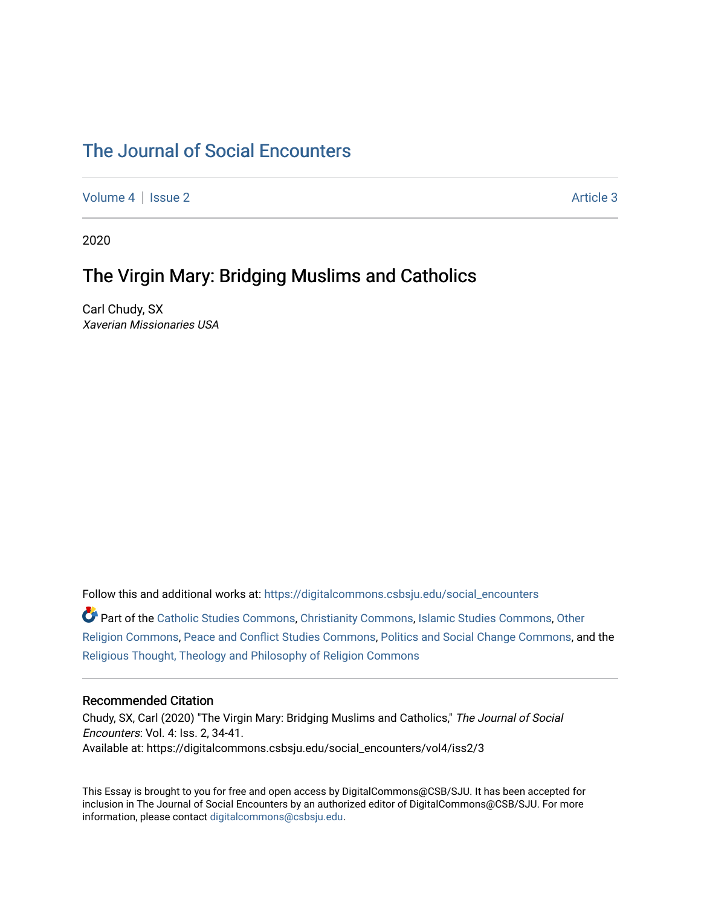# [The Journal of Social Encounters](https://digitalcommons.csbsju.edu/social_encounters)

[Volume 4](https://digitalcommons.csbsju.edu/social_encounters/vol4) | [Issue 2](https://digitalcommons.csbsju.edu/social_encounters/vol4/iss2) Article 3

2020

# The Virgin Mary: Bridging Muslims and Catholics

Carl Chudy, SX Xaverian Missionaries USA

Follow this and additional works at: [https://digitalcommons.csbsju.edu/social\\_encounters](https://digitalcommons.csbsju.edu/social_encounters?utm_source=digitalcommons.csbsju.edu%2Fsocial_encounters%2Fvol4%2Fiss2%2F3&utm_medium=PDF&utm_campaign=PDFCoverPages)  Part of the [Catholic Studies Commons](http://network.bepress.com/hgg/discipline/1294?utm_source=digitalcommons.csbsju.edu%2Fsocial_encounters%2Fvol4%2Fiss2%2F3&utm_medium=PDF&utm_campaign=PDFCoverPages), [Christianity Commons](http://network.bepress.com/hgg/discipline/1181?utm_source=digitalcommons.csbsju.edu%2Fsocial_encounters%2Fvol4%2Fiss2%2F3&utm_medium=PDF&utm_campaign=PDFCoverPages), [Islamic Studies Commons](http://network.bepress.com/hgg/discipline/1346?utm_source=digitalcommons.csbsju.edu%2Fsocial_encounters%2Fvol4%2Fiss2%2F3&utm_medium=PDF&utm_campaign=PDFCoverPages), [Other](http://network.bepress.com/hgg/discipline/545?utm_source=digitalcommons.csbsju.edu%2Fsocial_encounters%2Fvol4%2Fiss2%2F3&utm_medium=PDF&utm_campaign=PDFCoverPages)  [Religion Commons](http://network.bepress.com/hgg/discipline/545?utm_source=digitalcommons.csbsju.edu%2Fsocial_encounters%2Fvol4%2Fiss2%2F3&utm_medium=PDF&utm_campaign=PDFCoverPages), [Peace and Conflict Studies Commons](http://network.bepress.com/hgg/discipline/397?utm_source=digitalcommons.csbsju.edu%2Fsocial_encounters%2Fvol4%2Fiss2%2F3&utm_medium=PDF&utm_campaign=PDFCoverPages), [Politics and Social Change Commons](http://network.bepress.com/hgg/discipline/425?utm_source=digitalcommons.csbsju.edu%2Fsocial_encounters%2Fvol4%2Fiss2%2F3&utm_medium=PDF&utm_campaign=PDFCoverPages), and the [Religious Thought, Theology and Philosophy of Religion Commons](http://network.bepress.com/hgg/discipline/544?utm_source=digitalcommons.csbsju.edu%2Fsocial_encounters%2Fvol4%2Fiss2%2F3&utm_medium=PDF&utm_campaign=PDFCoverPages) 

#### Recommended Citation

Chudy, SX, Carl (2020) "The Virgin Mary: Bridging Muslims and Catholics," The Journal of Social Encounters: Vol. 4: Iss. 2, 34-41. Available at: https://digitalcommons.csbsju.edu/social\_encounters/vol4/iss2/3

This Essay is brought to you for free and open access by DigitalCommons@CSB/SJU. It has been accepted for inclusion in The Journal of Social Encounters by an authorized editor of DigitalCommons@CSB/SJU. For more information, please contact [digitalcommons@csbsju.edu.](mailto:digitalcommons@csbsju.edu)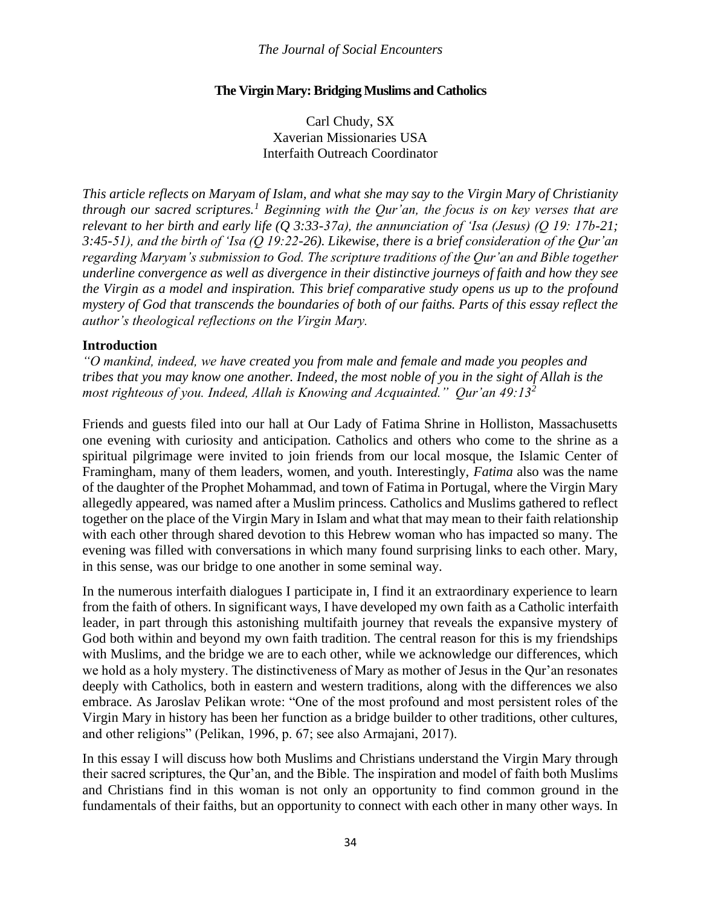### **The Virgin Mary: Bridging Muslims and Catholics**

Carl Chudy, SX Xaverian Missionaries USA Interfaith Outreach Coordinator

*This article reflects on Maryam of Islam, and what she may say to the Virgin Mary of Christianity through our sacred scriptures.<sup>1</sup> Beginning with the Qur'an, the focus is on key verses that are relevant to her birth and early life (Q 3:33-37a), the annunciation of 'Isa (Jesus) (Q 19: 17b-21; 3:45-51), and the birth of 'Isa (Q 19:22-26). Likewise, there is a brief consideration of the Qur'an regarding Maryam's submission to God. The scripture traditions of the Qur'an and Bible together underline convergence as well as divergence in their distinctive journeys of faith and how they see the Virgin as a model and inspiration. This brief comparative study opens us up to the profound mystery of God that transcends the boundaries of both of our faiths. Parts of this essay reflect the author's theological reflections on the Virgin Mary.*

#### **Introduction**

*"O mankind, indeed, we have created you from male and female and made you peoples and tribes that you may know one another. Indeed, the most noble of you in the sight of Allah is the most righteous of you. Indeed, Allah is Knowing and Acquainted." Qur'an 49:13<sup>2</sup>*

Friends and guests filed into our hall at Our Lady of Fatima Shrine in Holliston, Massachusetts one evening with curiosity and anticipation. Catholics and others who come to the shrine as a spiritual pilgrimage were invited to join friends from our local mosque, the Islamic Center of Framingham, many of them leaders, women, and youth. Interestingly, *Fatima* also was the name of the daughter of the Prophet Mohammad, and town of Fatima in Portugal, where the Virgin Mary allegedly appeared, was named after a Muslim princess. Catholics and Muslims gathered to reflect together on the place of the Virgin Mary in Islam and what that may mean to their faith relationship with each other through shared devotion to this Hebrew woman who has impacted so many. The evening was filled with conversations in which many found surprising links to each other. Mary, in this sense, was our bridge to one another in some seminal way.

In the numerous interfaith dialogues I participate in, I find it an extraordinary experience to learn from the faith of others. In significant ways, I have developed my own faith as a Catholic interfaith leader, in part through this astonishing multifaith journey that reveals the expansive mystery of God both within and beyond my own faith tradition. The central reason for this is my friendships with Muslims, and the bridge we are to each other, while we acknowledge our differences, which we hold as a holy mystery. The distinctiveness of Mary as mother of Jesus in the Qur'an resonates deeply with Catholics, both in eastern and western traditions, along with the differences we also embrace. As Jaroslav Pelikan wrote: "One of the most profound and most persistent roles of the Virgin Mary in history has been her function as a bridge builder to other traditions, other cultures, and other religions" (Pelikan, 1996, p. 67; see also Armajani, 2017).

In this essay I will discuss how both Muslims and Christians understand the Virgin Mary through their sacred scriptures, the Qur'an, and the Bible. The inspiration and model of faith both Muslims and Christians find in this woman is not only an opportunity to find common ground in the fundamentals of their faiths, but an opportunity to connect with each other in many other ways. In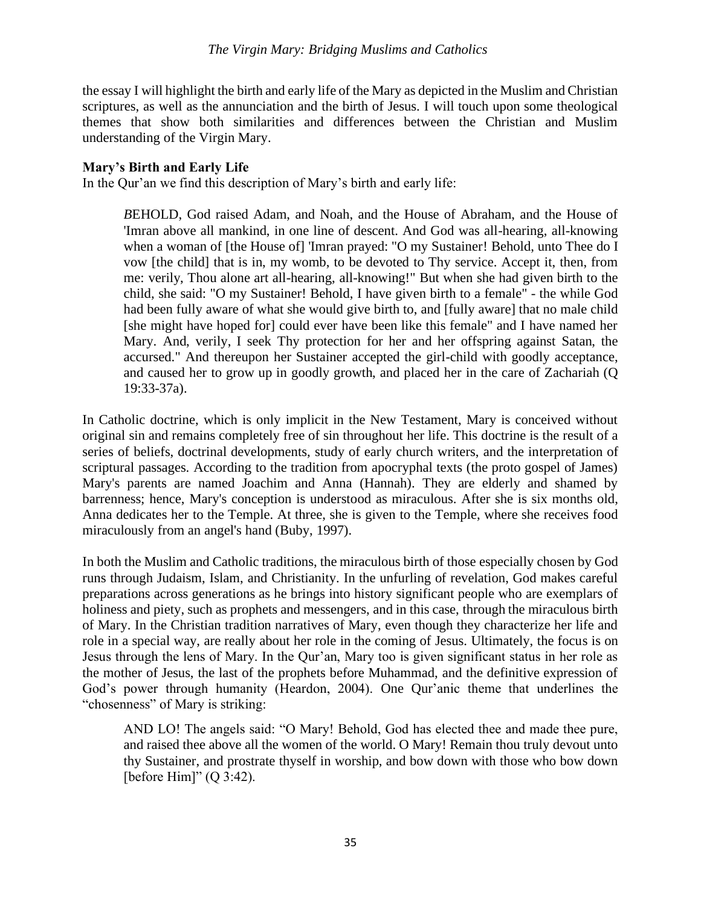the essay I will highlight the birth and early life of the Mary as depicted in the Muslim and Christian scriptures, as well as the annunciation and the birth of Jesus. I will touch upon some theological themes that show both similarities and differences between the Christian and Muslim understanding of the Virgin Mary.

## **Mary's Birth and Early Life**

In the Qur'an we find this description of Mary's birth and early life:

*B*EHOLD, God raised Adam, and Noah, and the House of Abraham, and the House of 'Imran above all mankind, in one line of descent. And God was all-hearing, all-knowing when a woman of [the House of] 'Imran prayed: "O my Sustainer! Behold, unto Thee do I vow [the child] that is in, my womb, to be devoted to Thy service. Accept it, then, from me: verily, Thou alone art all-hearing, all-knowing!" But when she had given birth to the child, she said: "O my Sustainer! Behold, I have given birth to a female" - the while God had been fully aware of what she would give birth to, and [fully aware] that no male child [she might have hoped for] could ever have been like this female" and I have named her Mary. And, verily, I seek Thy protection for her and her offspring against Satan, the accursed." And thereupon her Sustainer accepted the girl-child with goodly acceptance, and caused her to grow up in goodly growth, and placed her in the care of Zachariah (Q 19:33-37a).

In Catholic doctrine, which is only implicit in the New Testament, Mary is conceived without original sin and remains completely free of sin throughout her life. This doctrine is the result of a series of beliefs, doctrinal developments, study of early church writers, and the interpretation of scriptural passages. According to the tradition from apocryphal texts (the proto gospel of James) Mary's parents are named Joachim and Anna (Hannah). They are elderly and shamed by barrenness; hence, Mary's conception is understood as miraculous. After she is six months old, Anna dedicates her to the Temple. At three, she is given to the Temple, where she receives food miraculously from an angel's hand (Buby, 1997).

In both the Muslim and Catholic traditions, the miraculous birth of those especially chosen by God runs through Judaism, Islam, and Christianity. In the unfurling of revelation, God makes careful preparations across generations as he brings into history significant people who are exemplars of holiness and piety, such as prophets and messengers, and in this case, through the miraculous birth of Mary. In the Christian tradition narratives of Mary, even though they characterize her life and role in a special way, are really about her role in the coming of Jesus. Ultimately, the focus is on Jesus through the lens of Mary. In the Qur'an, Mary too is given significant status in her role as the mother of Jesus, the last of the prophets before Muhammad, and the definitive expression of God's power through humanity (Heardon, 2004). One Qur'anic theme that underlines the "chosenness" of Mary is striking:

AND LO! The angels said: "O Mary! Behold, God has elected thee and made thee pure, and raised thee above all the women of the world. O Mary! Remain thou truly devout unto thy Sustainer, and prostrate thyself in worship, and bow down with those who bow down [before Him]"  $(Q \ 3:42)$ .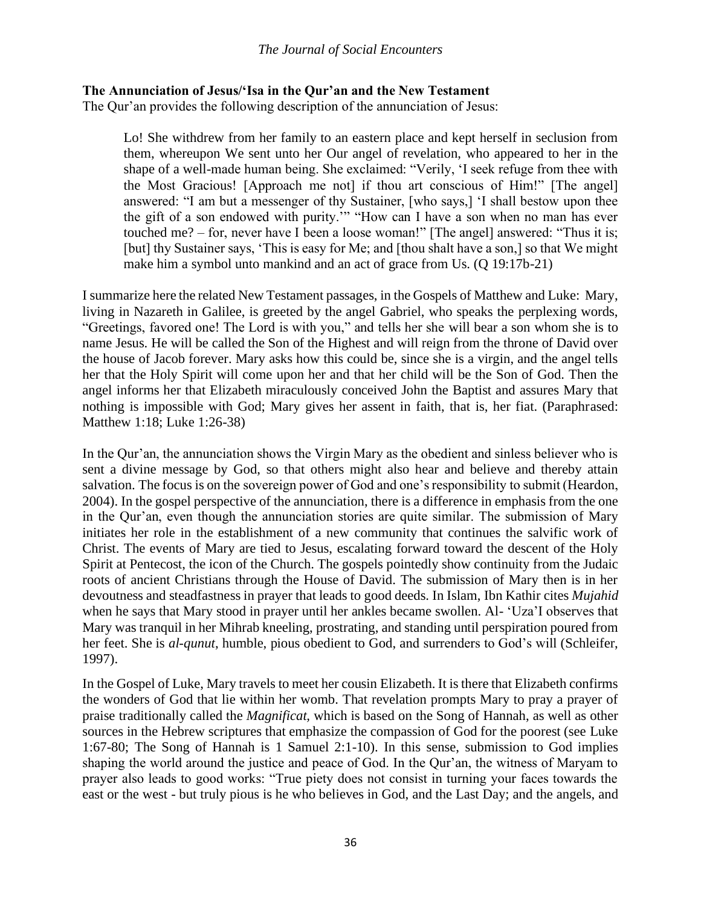## **The Annunciation of Jesus/'Isa in the Qur'an and the New Testament**

The Qur'an provides the following description of the annunciation of Jesus:

Lo! She withdrew from her family to an eastern place and kept herself in seclusion from them, whereupon We sent unto her Our angel of revelation, who appeared to her in the shape of a well-made human being. She exclaimed: "Verily, 'I seek refuge from thee with the Most Gracious! [Approach me not] if thou art conscious of Him!" [The angel] answered: "I am but a messenger of thy Sustainer, [who says,] 'I shall bestow upon thee the gift of a son endowed with purity.'" "How can I have a son when no man has ever touched me? – for, never have I been a loose woman!" [The angel] answered: "Thus it is; [but] thy Sustainer says, 'This is easy for Me; and [thou shalt have a son,] so that We might make him a symbol unto mankind and an act of grace from Us. (Q 19:17b-21)

I summarize here the related New Testament passages, in the Gospels of Matthew and Luke: Mary, living in Nazareth in Galilee, is greeted by the angel Gabriel, who speaks the perplexing words, "Greetings, favored one! The Lord is with you," and tells her she will bear a son whom she is to name Jesus. He will be called the Son of the Highest and will reign from the throne of David over the house of Jacob forever. Mary asks how this could be, since she is a virgin, and the angel tells her that the Holy Spirit will come upon her and that her child will be the Son of God. Then the angel informs her that Elizabeth miraculously conceived John the Baptist and assures Mary that nothing is impossible with God; Mary gives her assent in faith, that is, her fiat. (Paraphrased: Matthew 1:18; Luke 1:26-38)

In the Qur'an, the annunciation shows the Virgin Mary as the obedient and sinless believer who is sent a divine message by God, so that others might also hear and believe and thereby attain salvation. The focus is on the sovereign power of God and one's responsibility to submit (Heardon, 2004). In the gospel perspective of the annunciation, there is a difference in emphasis from the one in the Qur'an, even though the annunciation stories are quite similar. The submission of Mary initiates her role in the establishment of a new community that continues the salvific work of Christ. The events of Mary are tied to Jesus, escalating forward toward the descent of the Holy Spirit at Pentecost, the icon of the Church. The gospels pointedly show continuity from the Judaic roots of ancient Christians through the House of David. The submission of Mary then is in her devoutness and steadfastness in prayer that leads to good deeds. In Islam, Ibn Kathir cites *Mujahid* when he says that Mary stood in prayer until her ankles became swollen. Al- 'Uza'I observes that Mary was tranquil in her Mihrab kneeling, prostrating, and standing until perspiration poured from her feet. She is *al-qunut*, humble, pious obedient to God, and surrenders to God's will (Schleifer, 1997).

In the Gospel of Luke, Mary travels to meet her cousin Elizabeth. It is there that Elizabeth confirms the wonders of God that lie within her womb. That revelation prompts Mary to pray a prayer of praise traditionally called the *Magnificat,* which is based on the Song of Hannah, as well as other sources in the Hebrew scriptures that emphasize the compassion of God for the poorest (see Luke 1:67-80; The Song of Hannah is 1 Samuel 2:1-10). In this sense, submission to God implies shaping the world around the justice and peace of God. In the Qur'an, the witness of Maryam to prayer also leads to good works: "True piety does not consist in turning your faces towards the east or the west - but truly pious is he who believes in God, and the Last Day; and the angels, and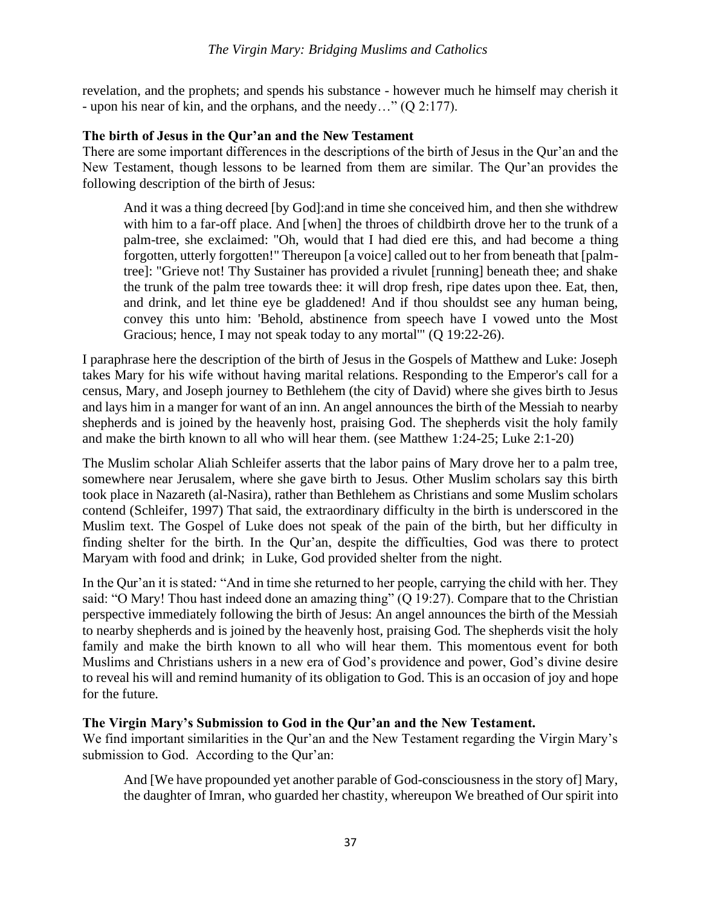revelation, and the prophets; and spends his substance - however much he himself may cherish it - upon his near of kin, and the orphans, and the needy…" (Q 2:177).

### **The birth of Jesus in the Qur'an and the New Testament**

There are some important differences in the descriptions of the birth of Jesus in the Qur'an and the New Testament, though lessons to be learned from them are similar. The Qur'an provides the following description of the birth of Jesus:

And it was a thing decreed [by God]:and in time she conceived him, and then she withdrew with him to a far-off place. And [when] the throes of childbirth drove her to the trunk of a palm-tree, she exclaimed: "Oh, would that I had died ere this, and had become a thing forgotten, utterly forgotten!" Thereupon [a voice] called out to her from beneath that [palmtree]: "Grieve not! Thy Sustainer has provided a rivulet [running] beneath thee; and shake the trunk of the palm tree towards thee: it will drop fresh, ripe dates upon thee. Eat, then, and drink, and let thine eye be gladdened! And if thou shouldst see any human being, convey this unto him: 'Behold, abstinence from speech have I vowed unto the Most Gracious; hence, I may not speak today to any mortal" (O 19:22-26).

I paraphrase here the description of the birth of Jesus in the Gospels of Matthew and Luke: Joseph takes Mary for his wife without having marital relations. Responding to the Emperor's call for a census, Mary, and Joseph journey to Bethlehem (the city of David) where she gives birth to Jesus and lays him in a manger for want of an inn. An angel announces the birth of the Messiah to nearby shepherds and is joined by the heavenly host, praising God. The shepherds visit the holy family and make the birth known to all who will hear them. (see Matthew 1:24-25; Luke 2:1-20)

The Muslim scholar Aliah Schleifer asserts that the labor pains of Mary drove her to a palm tree, somewhere near Jerusalem, where she gave birth to Jesus. Other Muslim scholars say this birth took place in Nazareth (al-Nasira), rather than Bethlehem as Christians and some Muslim scholars contend (Schleifer, 1997) That said, the extraordinary difficulty in the birth is underscored in the Muslim text. The Gospel of Luke does not speak of the pain of the birth, but her difficulty in finding shelter for the birth. In the Qur'an, despite the difficulties, God was there to protect Maryam with food and drink; in Luke, God provided shelter from the night.

In the Qur'an it is stated*:* "And in time she returned to her people, carrying the child with her. They said: "O Mary! Thou hast indeed done an amazing thing" (Q 19:27). Compare that to the Christian perspective immediately following the birth of Jesus: An angel announces the birth of the Messiah to nearby shepherds and is joined by the heavenly host, praising God. The shepherds visit the holy family and make the birth known to all who will hear them. This momentous event for both Muslims and Christians ushers in a new era of God's providence and power, God's divine desire to reveal his will and remind humanity of its obligation to God. This is an occasion of joy and hope for the future.

#### **The Virgin Mary's Submission to God in the Qur'an and the New Testament.**

We find important similarities in the Qur'an and the New Testament regarding the Virgin Mary's submission to God. According to the Qur'an:

And [We have propounded yet another parable of God-consciousness in the story of] Mary, the daughter of Imran, who guarded her chastity, whereupon We breathed of Our spirit into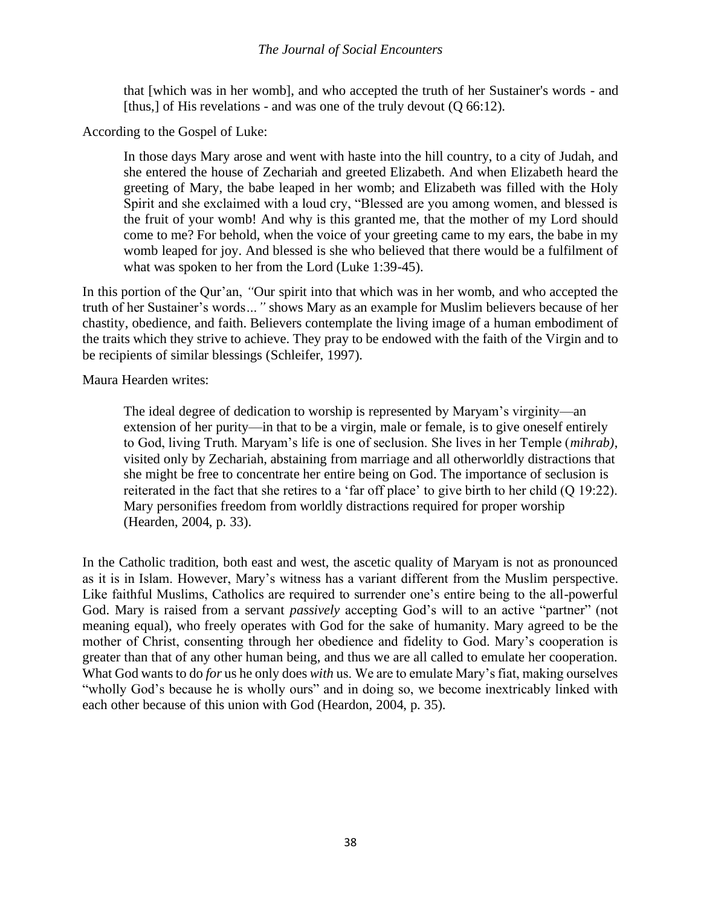### *The Journal of Social Encounters*

that [which was in her womb], and who accepted the truth of her Sustainer's words - and [thus,] of His revelations - and was one of the truly devout (Q 66:12).

According to the Gospel of Luke:

In those days Mary arose and went with haste into the hill country, to a city of Judah, and she entered the house of Zechariah and greeted Elizabeth. And when Elizabeth heard the greeting of Mary, the babe leaped in her womb; and Elizabeth was filled with the Holy Spirit and she exclaimed with a loud cry, "Blessed are you among women, and blessed is the fruit of your womb! And why is this granted me, that the mother of my Lord should come to me? For behold, when the voice of your greeting came to my ears, the babe in my womb leaped for joy. And blessed is she who believed that there would be a fulfilment of what was spoken to her from the Lord (Luke 1:39-45).

In this portion of the Qur'an, *"*Our spirit into that which was in her womb, and who accepted the truth of her Sustainer's words*…"* shows Mary as an example for Muslim believers because of her chastity, obedience, and faith. Believers contemplate the living image of a human embodiment of the traits which they strive to achieve. They pray to be endowed with the faith of the Virgin and to be recipients of similar blessings (Schleifer, 1997).

Maura Hearden writes:

The ideal degree of dedication to worship is represented by Maryam's virginity—an extension of her purity—in that to be a virgin, male or female, is to give oneself entirely to God, living Truth. Maryam's life is one of seclusion. She lives in her Temple (*mihrab)*, visited only by Zechariah, abstaining from marriage and all otherworldly distractions that she might be free to concentrate her entire being on God. The importance of seclusion is reiterated in the fact that she retires to a 'far off place' to give birth to her child (Q 19:22). Mary personifies freedom from worldly distractions required for proper worship (Hearden, 2004, p. 33).

In the Catholic tradition, both east and west, the ascetic quality of Maryam is not as pronounced as it is in Islam. However, Mary's witness has a variant different from the Muslim perspective. Like faithful Muslims, Catholics are required to surrender one's entire being to the all-powerful God. Mary is raised from a servant *passively* accepting God's will to an active "partner" (not meaning equal), who freely operates with God for the sake of humanity. Mary agreed to be the mother of Christ, consenting through her obedience and fidelity to God. Mary's cooperation is greater than that of any other human being, and thus we are all called to emulate her cooperation. What God wants to do *for* us he only does *with* us. We are to emulate Mary's fiat, making ourselves "wholly God's because he is wholly ours" and in doing so, we become inextricably linked with each other because of this union with God (Heardon, 2004, p. 35).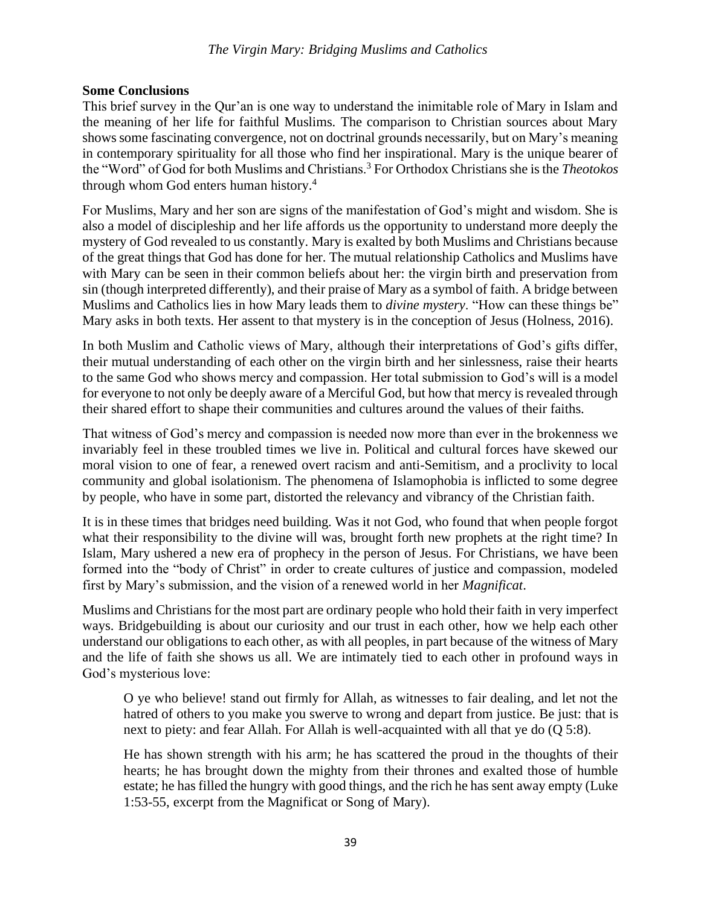### *The Virgin Mary: Bridging Muslims and Catholics*

### **Some Conclusions**

This brief survey in the Qur'an is one way to understand the inimitable role of Mary in Islam and the meaning of her life for faithful Muslims. The comparison to Christian sources about Mary shows some fascinating convergence, not on doctrinal grounds necessarily, but on Mary's meaning in contemporary spirituality for all those who find her inspirational. Mary is the unique bearer of the "Word" of God for both Muslims and Christians.<sup>3</sup> For Orthodox Christians she is the *Theotokos* through whom God enters human history.<sup>4</sup>

For Muslims, Mary and her son are signs of the manifestation of God's might and wisdom. She is also a model of discipleship and her life affords us the opportunity to understand more deeply the mystery of God revealed to us constantly. Mary is exalted by both Muslims and Christians because of the great things that God has done for her. The mutual relationship Catholics and Muslims have with Mary can be seen in their common beliefs about her: the virgin birth and preservation from sin (though interpreted differently), and their praise of Mary as a symbol of faith. A bridge between Muslims and Catholics lies in how Mary leads them to *divine mystery*. "How can these things be" Mary asks in both texts. Her assent to that mystery is in the conception of Jesus (Holness, 2016).

In both Muslim and Catholic views of Mary, although their interpretations of God's gifts differ, their mutual understanding of each other on the virgin birth and her sinlessness, raise their hearts to the same God who shows mercy and compassion. Her total submission to God's will is a model for everyone to not only be deeply aware of a Merciful God, but how that mercy is revealed through their shared effort to shape their communities and cultures around the values of their faiths.

That witness of God's mercy and compassion is needed now more than ever in the brokenness we invariably feel in these troubled times we live in. Political and cultural forces have skewed our moral vision to one of fear, a renewed overt racism and anti-Semitism, and a proclivity to local community and global isolationism. The phenomena of Islamophobia is inflicted to some degree by people, who have in some part, distorted the relevancy and vibrancy of the Christian faith.

It is in these times that bridges need building. Was it not God, who found that when people forgot what their responsibility to the divine will was, brought forth new prophets at the right time? In Islam, Mary ushered a new era of prophecy in the person of Jesus. For Christians, we have been formed into the "body of Christ" in order to create cultures of justice and compassion, modeled first by Mary's submission, and the vision of a renewed world in her *Magnificat*.

Muslims and Christians for the most part are ordinary people who hold their faith in very imperfect ways. Bridgebuilding is about our curiosity and our trust in each other, how we help each other understand our obligations to each other, as with all peoples, in part because of the witness of Mary and the life of faith she shows us all. We are intimately tied to each other in profound ways in God's mysterious love:

O ye who believe! stand out firmly for Allah, as witnesses to fair dealing, and let not the hatred of others to you make you swerve to wrong and depart from justice. Be just: that is next to piety: and fear Allah. For Allah is well-acquainted with all that ye do (Q 5:8).

He has shown strength with his arm; he has scattered the proud in the thoughts of their hearts; he has brought down the mighty from their thrones and exalted those of humble estate; he has filled the hungry with good things, and the rich he has sent away empty (Luke 1:53-55, excerpt from the Magnificat or Song of Mary).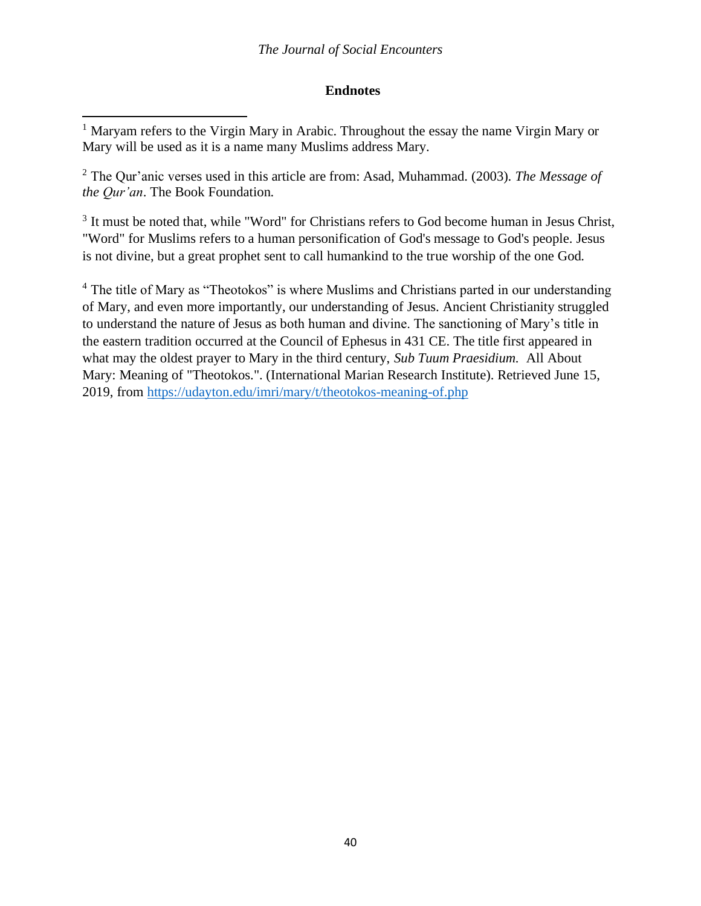# **Endnotes**

<sup>2</sup> The Qur'anic verses used in this article are from: Asad, Muhammad. (2003). *The Message of the Qur'an*. The Book Foundation.

<sup>3</sup> It must be noted that, while "Word" for Christians refers to God become human in Jesus Christ, "Word" for Muslims refers to a human personification of God's message to God's people. Jesus is not divine, but a great prophet sent to call humankind to the true worship of the one God.

<sup>4</sup> The title of Mary as "Theotokos" is where Muslims and Christians parted in our understanding of Mary, and even more importantly, our understanding of Jesus. Ancient Christianity struggled to understand the nature of Jesus as both human and divine. The sanctioning of Mary's title in the eastern tradition occurred at the Council of Ephesus in 431 CE. The title first appeared in what may the oldest prayer to Mary in the third century, *Sub Tuum Praesidium.* All About Mary: Meaning of "Theotokos.". (International Marian Research Institute). Retrieved June 15, 2019, from<https://udayton.edu/imri/mary/t/theotokos-meaning-of.php>

<sup>&</sup>lt;sup>1</sup> Maryam refers to the Virgin Mary in Arabic. Throughout the essay the name Virgin Mary or Mary will be used as it is a name many Muslims address Mary.